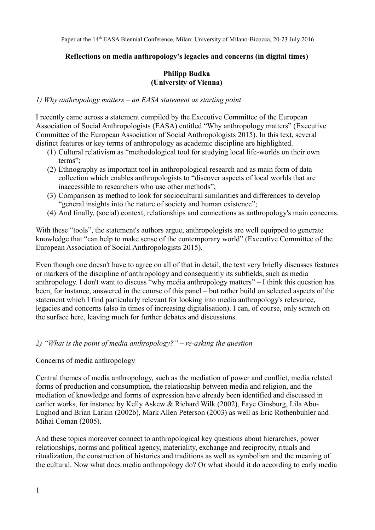#### **Reflections on media anthropology's legacies and concerns (in digital times)**

#### **Philipp Budka (University of Vienna)**

#### *1) Why anthropology matters – an EASA statement as starting point*

I recently came across a statement compiled by the Executive Committee of the European Association of Social Anthropologists (EASA) entitled "Why anthropology matters" (Executive Committee of the European Association of Social Anthropologists 2015). In this text, several distinct features or key terms of anthropology as academic discipline are highlighted.

- (1) Cultural relativism as "methodological tool for studying local life-worlds on their own terms";
- (2) Ethnography as important tool in anthropological research and as main form of data collection which enables anthropologists to "discover aspects of local worlds that are inaccessible to researchers who use other methods";
- (3) Comparison as method to look for sociocultural similarities and differences to develop "general insights into the nature of society and human existence";
- (4) And finally, (social) context, relationships and connections as anthropology's main concerns.

With these "tools", the statement's authors argue, anthropologists are well equipped to generate knowledge that "can help to make sense of the contemporary world" (Executive Committee of the European Association of Social Anthropologists 2015).

Even though one doesn't have to agree on all of that in detail, the text very briefly discusses features or markers of the discipline of anthropology and consequently its subfields, such as media anthropology. I don't want to discuss "why media anthropology matters" – I think this question has been, for instance, answered in the course of this panel – but rather build on selected aspects of the statement which I find particularly relevant for looking into media anthropology's relevance, legacies and concerns (also in times of increasing digitalisation). I can, of course, only scratch on the surface here, leaving much for further debates and discussions.

## *2) "What is the point of media anthropology?" – re-asking the question*

#### Concerns of media anthropology

Central themes of media anthropology, such as the mediation of power and conflict, media related forms of production and consumption, the relationship between media and religion, and the mediation of knowledge and forms of expression have already been identified and discussed in earlier works, for instance by Kelly Askew & Richard Wilk (2002), Faye Ginsburg, Lila Abu-Lughod and Brian Larkin (2002b), Mark Allen Peterson (2003) as well as Eric Rothenbuhler and Mihai Coman (2005).

And these topics moreover connect to anthropological key questions about hierarchies, power relationships, norms and political agency, materiality, exchange and reciprocity, rituals and ritualization, the construction of histories and traditions as well as symbolism and the meaning of the cultural. Now what does media anthropology do? Or what should it do according to early media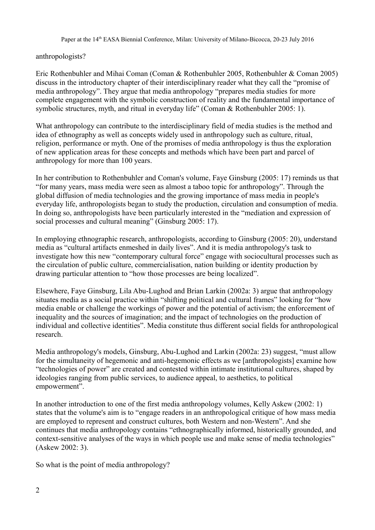## anthropologists?

Eric Rothenbuhler and Mihai Coman (Coman & Rothenbuhler 2005, Rothenbuhler & Coman 2005) discuss in the introductory chapter of their interdisciplinary reader what they call the "promise of media anthropology". They argue that media anthropology "prepares media studies for more complete engagement with the symbolic construction of reality and the fundamental importance of symbolic structures, myth, and ritual in everyday life" (Coman & Rothenbuhler 2005: 1).

What anthropology can contribute to the interdisciplinary field of media studies is the method and idea of ethnography as well as concepts widely used in anthropology such as culture, ritual, religion, performance or myth. One of the promises of media anthropology is thus the exploration of new application areas for these concepts and methods which have been part and parcel of anthropology for more than 100 years.

In her contribution to Rothenbuhler and Coman's volume, Faye Ginsburg (2005: 17) reminds us that "for many years, mass media were seen as almost a taboo topic for anthropology". Through the global diffusion of media technologies and the growing importance of mass media in people's everyday life, anthropologists began to study the production, circulation and consumption of media. In doing so, anthropologists have been particularly interested in the "mediation and expression of social processes and cultural meaning" (Ginsburg 2005: 17).

In employing ethnographic research, anthropologists, according to Ginsburg (2005: 20), understand media as "cultural artifacts enmeshed in daily lives". And it is media anthropology's task to investigate how this new "contemporary cultural force" engage with sociocultural processes such as the circulation of public culture, commercialisation, nation building or identity production by drawing particular attention to "how those processes are being localized".

Elsewhere, Faye Ginsburg, Lila Abu-Lughod and Brian Larkin (2002a: 3) argue that anthropology situates media as a social practice within "shifting political and cultural frames" looking for "how media enable or challenge the workings of power and the potential of activism; the enforcement of inequality and the sources of imagination; and the impact of technologies on the production of individual and collective identities". Media constitute thus different social fields for anthropological research.

Media anthropology's models, Ginsburg, Abu-Lughod and Larkin (2002a: 23) suggest, "must allow for the simultaneity of hegemonic and anti-hegemonic effects as we [anthropologists] examine how "technologies of power" are created and contested within intimate institutional cultures, shaped by ideologies ranging from public services, to audience appeal, to aesthetics, to political empowerment".

In another introduction to one of the first media anthropology volumes, Kelly Askew (2002: 1) states that the volume's aim is to "engage readers in an anthropological critique of how mass media are employed to represent and construct cultures, both Western and non-Western". And she continues that media anthropology contains "ethnographically informed, historically grounded, and context-sensitive analyses of the ways in which people use and make sense of media technologies" (Askew 2002: 3).

So what is the point of media anthropology?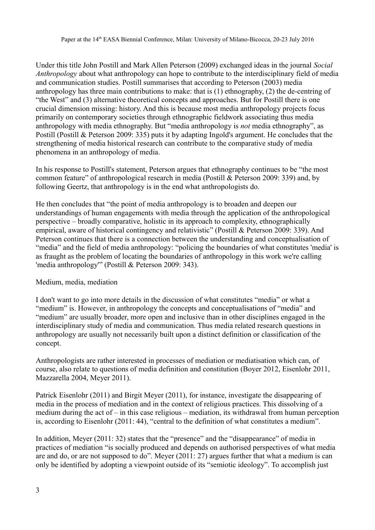Under this title John Postill and Mark Allen Peterson (2009) exchanged ideas in the journal *Social Anthropology* about what anthropology can hope to contribute to the interdisciplinary field of media and communication studies. Postill summarises that according to Peterson (2003) media anthropology has three main contributions to make: that is (1) ethnography, (2) the de-centring of "the West" and (3) alternative theoretical concepts and approaches. But for Postill there is one crucial dimension missing: history. And this is because most media anthropology projects focus primarily on contemporary societies through ethnographic fieldwork associating thus media anthropology with media ethnography. But "media anthropology is *not* media ethnography", as Postill (Postill & Peterson 2009: 335) puts it by adapting Ingold's argument. He concludes that the strengthening of media historical research can contribute to the comparative study of media phenomena in an anthropology of media.

In his response to Postill's statement, Peterson argues that ethnography continues to be "the most common feature" of anthropological research in media (Postill & Peterson 2009: 339) and, by following Geertz, that anthropology is in the end what anthropologists do.

He then concludes that "the point of media anthropology is to broaden and deepen our understandings of human engagements with media through the application of the anthropological perspective – broadly comparative, holistic in its approach to complexity, ethnographically empirical, aware of historical contingency and relativistic" (Postill & Peterson 2009: 339). And Peterson continues that there is a connection between the understanding and conceptualisation of "media" and the field of media anthropology: "policing the boundaries of what constitutes 'media' is as fraught as the problem of locating the boundaries of anthropology in this work we're calling 'media anthropology'" (Postill & Peterson 2009: 343).

## Medium, media, mediation

I don't want to go into more details in the discussion of what constitutes "media" or what a "medium" is. However, in anthropology the concepts and conceptualisations of "media" and "medium" are usually broader, more open and inclusive than in other disciplines engaged in the interdisciplinary study of media and communication. Thus media related research questions in anthropology are usually not necessarily built upon a distinct definition or classification of the concept.

Anthropologists are rather interested in processes of mediation or mediatisation which can, of course, also relate to questions of media definition and constitution (Boyer 2012, Eisenlohr 2011, Mazzarella 2004, Meyer 2011).

Patrick Eisenlohr (2011) and Birgit Meyer (2011), for instance, investigate the disappearing of media in the process of mediation and in the context of religious practices. This dissolving of a medium during the act of – in this case religious – mediation, its withdrawal from human perception is, according to Eisenlohr (2011: 44), "central to the definition of what constitutes a medium".

In addition, Meyer (2011: 32) states that the "presence" and the "disappearance" of media in practices of mediation "is socially produced and depends on authorised perspectives of what media are and do, or are not supposed to do". Meyer (2011: 27) argues further that what a medium is can only be identified by adopting a viewpoint outside of its "semiotic ideology". To accomplish just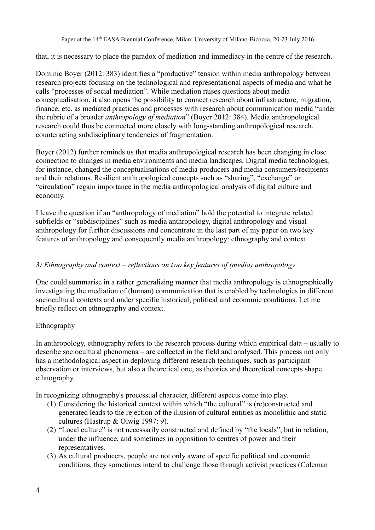that, it is necessary to place the paradox of mediation and immediacy in the centre of the research.

Dominic Boyer (2012: 383) identifies a "productive" tension within media anthropology between research projects focusing on the technological and representational aspects of media and what he calls "processes of social mediation". While mediation raises questions about media conceptualisation, it also opens the possibility to connect research about infrastructure, migration, finance, etc. as mediated practices and processes with research about communication media "under the rubric of a broader *anthropology of mediation*" (Boyer 2012: 384). Media anthropological research could thus be connected more closely with long-standing anthropological research, counteracting subdisciplinary tendencies of fragmentation.

Boyer (2012) further reminds us that media anthropological research has been changing in close connection to changes in media environments and media landscapes. Digital media technologies, for instance, changed the conceptualisations of media producers and media consumers/recipients and their relations. Resilient anthropological concepts such as "sharing", "exchange" or "circulation" regain importance in the media anthropological analysis of digital culture and economy.

I leave the question if an "anthropology of mediation" hold the potential to integrate related subfields or "subdisciplines" such as media anthropology, digital anthropology and visual anthropology for further discussions and concentrate in the last part of my paper on two key features of anthropology and consequently media anthropology: ethnography and context.

## *3) Ethnography and context – reflections on two key features of (media) anthropology*

One could summarise in a rather generalizing manner that media anthropology is ethnographically investigating the mediation of (human) communication that is enabled by technologies in different sociocultural contexts and under specific historical, political and economic conditions. Let me briefly reflect on ethnography and context.

## Ethnography

In anthropology, ethnography refers to the research process during which empirical data – usually to describe sociocultural phenomena – are collected in the field and analysed. This process not only has a methodological aspect in deploying different research techniques, such as participant observation or interviews, but also a theoretical one, as theories and theoretical concepts shape ethnography.

In recognizing ethnography's processual character, different aspects come into play.

- (1) Considering the historical context within which "the cultural" is (re)constructed and generated leads to the rejection of the illusion of cultural entities as monolithic and static cultures (Hastrup & Olwig 1997: 9).
- (2) "Local culture" is not necessarily constructed and defined by "the locals", but in relation, under the influence, and sometimes in opposition to centres of power and their representatives.
- (3) As cultural producers, people are not only aware of specific political and economic conditions, they sometimes intend to challenge those through activist practices (Coleman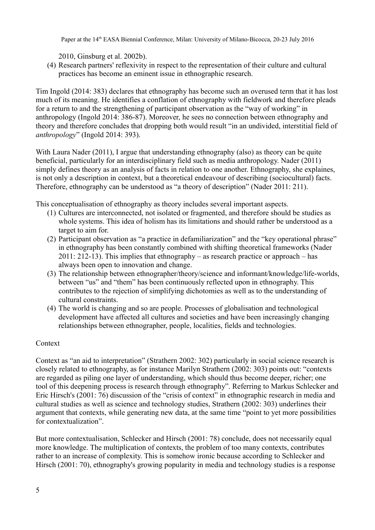2010, Ginsburg et al. 2002b).

(4) Research partners' reflexivity in respect to the representation of their culture and cultural practices has become an eminent issue in ethnographic research.

Tim Ingold (2014: 383) declares that ethnography has become such an overused term that it has lost much of its meaning. He identifies a conflation of ethnography with fieldwork and therefore pleads for a return to and the strengthening of participant observation as the "way of working" in anthropology (Ingold 2014: 386-87). Moreover, he sees no connection between ethnography and theory and therefore concludes that dropping both would result "in an undivided, interstitial field of *anthropology*" (Ingold 2014: 393).

With Laura Nader (2011), I argue that understanding ethnography (also) as theory can be quite beneficial, particularly for an interdisciplinary field such as media anthropology. Nader (2011) simply defines theory as an analysis of facts in relation to one another. Ethnography, she explaines, is not only a description in context, but a theoretical endeavour of describing (sociocultural) facts. Therefore, ethnography can be understood as "a theory of description" (Nader 2011: 211).

This conceptualisation of ethnography as theory includes several important aspects.

- (1) Cultures are interconnected, not isolated or fragmented, and therefore should be studies as whole systems. This idea of holism has its limitations and should rather be understood as a target to aim for.
- (2) Participant observation as "a practice in defamiliarization" and the "key operational phrase" in ethnography has been constantly combined with shifting theoretical frameworks (Nader 2011: 212-13). This implies that ethnography – as research practice or approach – has always been open to innovation and change.
- (3) The relationship between ethnographer/theory/science and informant/knowledge/life-worlds, between "us" and "them" has been continuously reflected upon in ethnography. This contributes to the rejection of simplifying dichotomies as well as to the understanding of cultural constraints.
- (4) The world is changing and so are people. Processes of globalisation and technological development have affected all cultures and societies and have been increasingly changing relationships between ethnographer, people, localities, fields and technologies.

## Context

Context as "an aid to interpretation" (Strathern 2002: 302) particularly in social science research is closely related to ethnography, as for instance Marilyn Strathern (2002: 303) points out: "contexts are regarded as piling one layer of understanding, which should thus become deeper, richer; one tool of this deepening process is research through ethnography". Referring to Markus Schlecker and Eric Hirsch's (2001: 76) discussion of the "crisis of context" in ethnographic research in media and cultural studies as well as science and technology studies, Strathern (2002: 303) underlines their argument that contexts, while generating new data, at the same time "point to yet more possibilities for contextualization".

But more contextualisation, Schlecker and Hirsch (2001: 78) conclude, does not necessarily equal more knowledge. The multiplication of contexts, the problem of too many contexts, contributes rather to an increase of complexity. This is somehow ironic because according to Schlecker and Hirsch (2001: 70), ethnography's growing popularity in media and technology studies is a response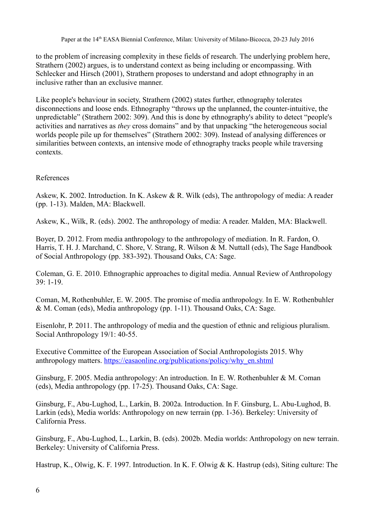to the problem of increasing complexity in these fields of research. The underlying problem here, Strathern (2002) argues, is to understand context as being including or encompassing. With Schlecker and Hirsch (2001), Strathern proposes to understand and adopt ethnography in an inclusive rather than an exclusive manner.

Like people's behaviour in society, Strathern (2002) states further, ethnography tolerates disconnections and loose ends. Ethnography "throws up the unplanned, the counter-intuitive, the unpredictable" (Strathern 2002: 309). And this is done by ethnography's ability to detect "people's activities and narratives as *they* cross domains" and by that unpacking "the heterogeneous social worlds people pile up for themselves" (Strathern 2002: 309). Instead of analysing differences or similarities between contexts, an intensive mode of ethnography tracks people while traversing contexts.

# References

Askew, K. 2002. Introduction. In K. Askew & R. Wilk (eds), The anthropology of media: A reader (pp. 1-13). Malden, MA: Blackwell.

Askew, K., Wilk, R. (eds). 2002. The anthropology of media: A reader. Malden, MA: Blackwell.

Boyer, D. 2012. From media anthropology to the anthropology of mediation. In R. Fardon, O. Harris, T. H. J. Marchand, C. Shore, V. Strang, R. Wilson & M. Nuttall (eds), The Sage Handbook of Social Anthropology (pp. 383-392). Thousand Oaks, CA: Sage.

Coleman, G. E. 2010. Ethnographic approaches to digital media. Annual Review of Anthropology 39: 1-19.

Coman, M, Rothenbuhler, E. W. 2005. The promise of media anthropology. In E. W. Rothenbuhler & M. Coman (eds), Media anthropology (pp. 1-11). Thousand Oaks, CA: Sage.

Eisenlohr, P. 2011. The anthropology of media and the question of ethnic and religious pluralism. Social Anthropology 19/1: 40-55.

Executive Committee of the European Association of Social Anthropologists 2015. Why anthropology matters. [https://easaonline.org/publications/policy/why\\_en.shtml](https://easaonline.org/publications/policy/why_en.shtml)

Ginsburg, F. 2005. Media anthropology: An introduction. In E. W. Rothenbuhler & M. Coman (eds), Media anthropology (pp. 17-25). Thousand Oaks, CA: Sage.

Ginsburg, F., Abu-Lughod, L., Larkin, B. 2002a. Introduction. In F. Ginsburg, L. Abu-Lughod, B. Larkin (eds), Media worlds: Anthropology on new terrain (pp. 1-36). Berkeley: University of California Press.

Ginsburg, F., Abu-Lughod, L., Larkin, B. (eds). 2002b. Media worlds: Anthropology on new terrain. Berkeley: University of California Press.

Hastrup, K., Olwig, K. F. 1997. Introduction. In K. F. Olwig & K. Hastrup (eds), Siting culture: The